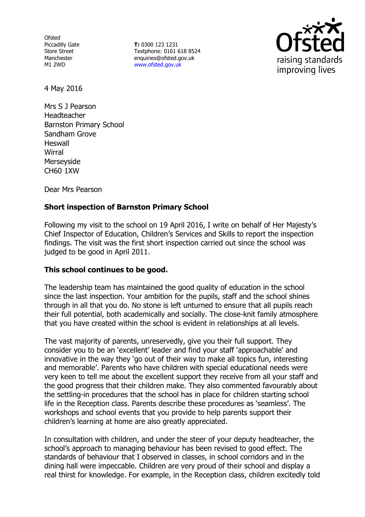**Ofsted** Piccadilly Gate Store Street Manchester M1 2WD

**T:** 0300 123 1231 Textphone: 0161 618 8524 enquiries@ofsted.gov.uk www.ofsted.gov.uk



4 May 2016

Mrs S J Pearson Headteacher Barnston Primary School Sandham Grove **Heswall Wirral** Merseyside CH60 1XW

Dear Mrs Pearson

# **Short inspection of Barnston Primary School**

Following my visit to the school on 19 April 2016, I write on behalf of Her Majesty's Chief Inspector of Education, Children's Services and Skills to report the inspection findings. The visit was the first short inspection carried out since the school was judged to be good in April 2011.

### **This school continues to be good.**

The leadership team has maintained the good quality of education in the school since the last inspection. Your ambition for the pupils, staff and the school shines through in all that you do. No stone is left unturned to ensure that all pupils reach their full potential, both academically and socially. The close-knit family atmosphere that you have created within the school is evident in relationships at all levels.

The vast majority of parents, unreservedly, give you their full support. They consider you to be an 'excellent' leader and find your staff 'approachable' and innovative in the way they 'go out of their way to make all topics fun, interesting and memorable'. Parents who have children with special educational needs were very keen to tell me about the excellent support they receive from all your staff and the good progress that their children make. They also commented favourably about the settling-in procedures that the school has in place for children starting school life in the Reception class. Parents describe these procedures as 'seamless'. The workshops and school events that you provide to help parents support their children's learning at home are also greatly appreciated.

In consultation with children, and under the steer of your deputy headteacher, the school's approach to managing behaviour has been revised to good effect. The standards of behaviour that I observed in classes, in school corridors and in the dining hall were impeccable. Children are very proud of their school and display a real thirst for knowledge. For example, in the Reception class, children excitedly told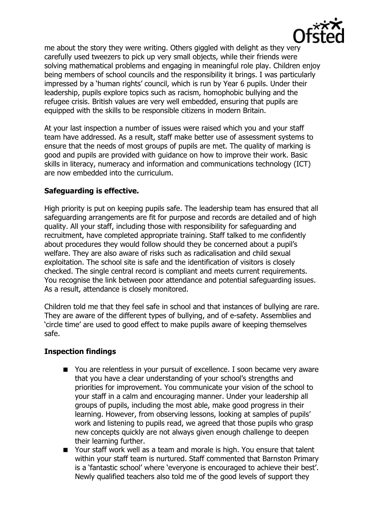

me about the story they were writing. Others giggled with delight as they very carefully used tweezers to pick up very small objects, while their friends were solving mathematical problems and engaging in meaningful role play. Children enjoy being members of school councils and the responsibility it brings. I was particularly impressed by a 'human rights' council, which is run by Year 6 pupils. Under their leadership, pupils explore topics such as racism, homophobic bullying and the refugee crisis. British values are very well embedded, ensuring that pupils are equipped with the skills to be responsible citizens in modern Britain.

At your last inspection a number of issues were raised which you and your staff team have addressed. As a result, staff make better use of assessment systems to ensure that the needs of most groups of pupils are met. The quality of marking is good and pupils are provided with guidance on how to improve their work. Basic skills in literacy, numeracy and information and communications technology (ICT) are now embedded into the curriculum.

# **Safeguarding is effective.**

High priority is put on keeping pupils safe. The leadership team has ensured that all safeguarding arrangements are fit for purpose and records are detailed and of high quality. All your staff, including those with responsibility for safeguarding and recruitment, have completed appropriate training. Staff talked to me confidently about procedures they would follow should they be concerned about a pupil's welfare. They are also aware of risks such as radicalisation and child sexual exploitation. The school site is safe and the identification of visitors is closely checked. The single central record is compliant and meets current requirements. You recognise the link between poor attendance and potential safeguarding issues. As a result, attendance is closely monitored.

Children told me that they feel safe in school and that instances of bullying are rare. They are aware of the different types of bullying, and of e-safety. Assemblies and 'circle time' are used to good effect to make pupils aware of keeping themselves safe.

### **Inspection findings**

- You are relentless in your pursuit of excellence. I soon became very aware that you have a clear understanding of your school's strengths and priorities for improvement. You communicate your vision of the school to your staff in a calm and encouraging manner. Under your leadership all groups of pupils, including the most able, make good progress in their learning. However, from observing lessons, looking at samples of pupils' work and listening to pupils read, we agreed that those pupils who grasp new concepts quickly are not always given enough challenge to deepen their learning further.
- Your staff work well as a team and morale is high. You ensure that talent within your staff team is nurtured. Staff commented that Barnston Primary is a 'fantastic school' where 'everyone is encouraged to achieve their best'. Newly qualified teachers also told me of the good levels of support they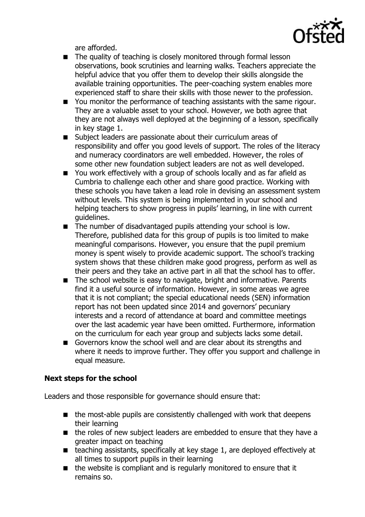

are afforded.

- The quality of teaching is closely monitored through formal lesson observations, book scrutinies and learning walks. Teachers appreciate the helpful advice that you offer them to develop their skills alongside the available training opportunities. The peer-coaching system enables more experienced staff to share their skills with those newer to the profession.
- You monitor the performance of teaching assistants with the same rigour. They are a valuable asset to your school. However, we both agree that they are not always well deployed at the beginning of a lesson, specifically in key stage 1.
- Subiect leaders are passionate about their curriculum areas of responsibility and offer you good levels of support. The roles of the literacy and numeracy coordinators are well embedded. However, the roles of some other new foundation subject leaders are not as well developed.
- You work effectively with a group of schools locally and as far afield as Cumbria to challenge each other and share good practice. Working with these schools you have taken a lead role in devising an assessment system without levels. This system is being implemented in your school and helping teachers to show progress in pupils' learning, in line with current guidelines.
- The number of disadvantaged pupils attending your school is low. Therefore, published data for this group of pupils is too limited to make meaningful comparisons. However, you ensure that the pupil premium money is spent wisely to provide academic support. The school's tracking system shows that these children make good progress, perform as well as their peers and they take an active part in all that the school has to offer.
- The school website is easy to navigate, bright and informative. Parents find it a useful source of information. However, in some areas we agree that it is not compliant; the special educational needs (SEN) information report has not been updated since 2014 and governors' pecuniary interests and a record of attendance at board and committee meetings over the last academic year have been omitted. Furthermore, information on the curriculum for each year group and subjects lacks some detail.
- Governors know the school well and are clear about its strengths and where it needs to improve further. They offer you support and challenge in equal measure.

# **Next steps for the school**

Leaders and those responsible for governance should ensure that:

- $\blacksquare$  the most-able pupils are consistently challenged with work that deepens their learning
- the roles of new subject leaders are embedded to ensure that they have a greater impact on teaching
- teaching assistants, specifically at key stage 1, are deployed effectively at all times to support pupils in their learning
- $\blacksquare$  the website is compliant and is regularly monitored to ensure that it remains so.